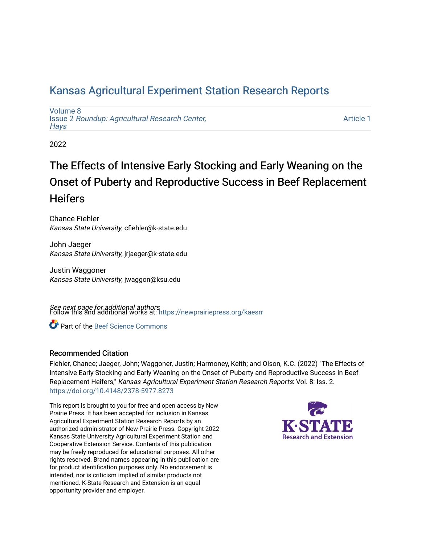# [Kansas Agricultural Experiment Station Research Reports](https://newprairiepress.org/kaesrr)

[Volume 8](https://newprairiepress.org/kaesrr/vol8) Issue 2 [Roundup: Agricultural Research Center,](https://newprairiepress.org/kaesrr/vol8/iss2)  [Hays](https://newprairiepress.org/kaesrr/vol8/iss2) 

[Article 1](https://newprairiepress.org/kaesrr/vol8/iss2/1) 

2022

# The Effects of Intensive Early Stocking and Early Weaning on the Onset of Puberty and Reproductive Success in Beef Replacement **Heifers**

Chance Fiehler Kansas State University, cfiehler@k-state.edu

John Jaeger Kansas State University, jrjaeger@k-state.edu

Justin Waggoner Kansas State University, jwaggon@ksu.edu

**See next page for additional authors**<br>Follow this and additional works at: https://newprairiepress.org/kaesrr

Part of the [Beef Science Commons](http://network.bepress.com/hgg/discipline/1404?utm_source=newprairiepress.org%2Fkaesrr%2Fvol8%2Fiss2%2F1&utm_medium=PDF&utm_campaign=PDFCoverPages) 

#### Recommended Citation

Fiehler, Chance; Jaeger, John; Waggoner, Justin; Harmoney, Keith; and Olson, K.C. (2022) "The Effects of Intensive Early Stocking and Early Weaning on the Onset of Puberty and Reproductive Success in Beef Replacement Heifers," Kansas Agricultural Experiment Station Research Reports: Vol. 8: Iss. 2. <https://doi.org/10.4148/2378-5977.8273>

This report is brought to you for free and open access by New Prairie Press. It has been accepted for inclusion in Kansas Agricultural Experiment Station Research Reports by an authorized administrator of New Prairie Press. Copyright 2022 Kansas State University Agricultural Experiment Station and Cooperative Extension Service. Contents of this publication may be freely reproduced for educational purposes. All other rights reserved. Brand names appearing in this publication are for product identification purposes only. No endorsement is intended, nor is criticism implied of similar products not mentioned. K-State Research and Extension is an equal opportunity provider and employer.

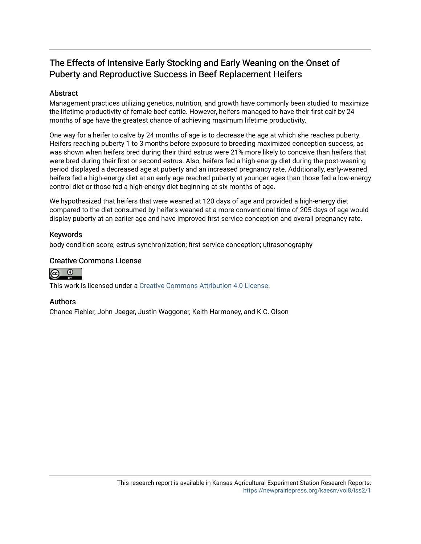### The Effects of Intensive Early Stocking and Early Weaning on the Onset of Puberty and Reproductive Success in Beef Replacement Heifers

### Abstract

Management practices utilizing genetics, nutrition, and growth have commonly been studied to maximize the lifetime productivity of female beef cattle. However, heifers managed to have their first calf by 24 months of age have the greatest chance of achieving maximum lifetime productivity.

One way for a heifer to calve by 24 months of age is to decrease the age at which she reaches puberty. Heifers reaching puberty 1 to 3 months before exposure to breeding maximized conception success, as was shown when heifers bred during their third estrus were 21% more likely to conceive than heifers that were bred during their first or second estrus. Also, heifers fed a high-energy diet during the post-weaning period displayed a decreased age at puberty and an increased pregnancy rate. Additionally, early-weaned heifers fed a high-energy diet at an early age reached puberty at younger ages than those fed a low-energy control diet or those fed a high-energy diet beginning at six months of age.

We hypothesized that heifers that were weaned at 120 days of age and provided a high-energy diet compared to the diet consumed by heifers weaned at a more conventional time of 205 days of age would display puberty at an earlier age and have improved first service conception and overall pregnancy rate.

### Keywords

body condition score; estrus synchronization; first service conception; ultrasonography

### Creative Commons License



This work is licensed under a [Creative Commons Attribution 4.0 License](https://creativecommons.org/licenses/by/4.0/).

### Authors

Chance Fiehler, John Jaeger, Justin Waggoner, Keith Harmoney, and K.C. Olson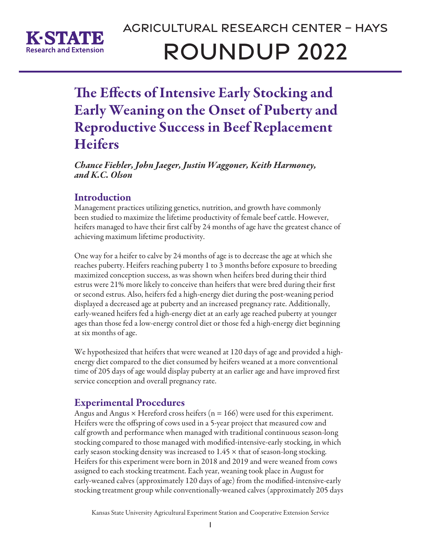

# Agricultural Research Center – Hays Roundup 2022

The Effects of Intensive Early Stocking and Early Weaning on the Onset of Puberty and Reproductive Success in Beef Replacement **Heifers** 

*Chance Fiehler, John Jaeger, Justin Waggoner, Keith Harmoney, and K.C. Olson*

# Introduction

Management practices utilizing genetics, nutrition, and growth have commonly been studied to maximize the lifetime productivity of female beef cattle. However, heifers managed to have their first calf by 24 months of age have the greatest chance of achieving maximum lifetime productivity.

One way for a heifer to calve by 24 months of age is to decrease the age at which she reaches puberty. Heifers reaching puberty 1 to 3 months before exposure to breeding maximized conception success, as was shown when heifers bred during their third estrus were 21% more likely to conceive than heifers that were bred during their first or second estrus. Also, heifers fed a high-energy diet during the post-weaning period displayed a decreased age at puberty and an increased pregnancy rate. Additionally, early-weaned heifers fed a high-energy diet at an early age reached puberty at younger ages than those fed a low-energy control diet or those fed a high-energy diet beginning at six months of age.

We hypothesized that heifers that were weaned at 120 days of age and provided a highenergy diet compared to the diet consumed by heifers weaned at a more conventional time of 205 days of age would display puberty at an earlier age and have improved first service conception and overall pregnancy rate.

# Experimental Procedures

Angus and Angus  $\times$  Hereford cross heifers (n = 166) were used for this experiment. Heifers were the offspring of cows used in a 5-year project that measured cow and calf growth and performance when managed with traditional continuous season-long stocking compared to those managed with modified-intensive-early stocking, in which early season stocking density was increased to 1.45 × that of season-long stocking. Heifers for this experiment were born in 2018 and 2019 and were weaned from cows assigned to each stocking treatment. Each year, weaning took place in August for early-weaned calves (approximately 120 days of age) from the modified-intensive-early stocking treatment group while conventionally-weaned calves (approximately 205 days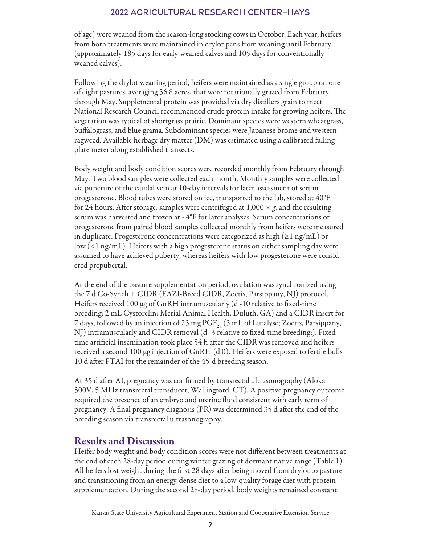### 2022 Agricultural Research Center–Hays

of age) were weaned from the season-long stocking cows in October. Each year, heifers from both treatments were maintained in drylot pens from weaning until February (approximately 185 days for early-weaned calves and 105 days for conventionallyweaned calves).

Following the drylot weaning period, heifers were maintained as a single group on one of eight pastures, averaging 36.8 acres, that were rotationally grazed from February through May. Supplemental protein was provided via dry distillers grain to meet National Research Council recommended crude protein intake for growing heifers. The vegetation was typical of shortgrass prairie. Dominant species were western wheatgrass, buffalograss, and blue grama. Subdominant species were Japanese brome and western ragweed. Available herbage dry matter (DM) was estimated using a calibrated falling plate meter along established transects.

Body weight and body condition scores were recorded monthly from February through May. Two blood samples were collected each month. Monthly samples were collected via puncture of the caudal vein at 10-day intervals for later assessment of serum progesterone. Blood tubes were stored on ice, transported to the lab, stored at 40°F for 24 hours. After storage, samples were centrifuged at 1,000 × *g*, and the resulting serum was harvested and frozen at - 4°F for later analyses. Serum concentrations of progesterone from paired blood samples collected monthly from heifers were measured in duplicate. Progesterone concentrations were categorized as high (≥1 ng/mL) or low (<1 ng/mL). Heifers with a high progesterone status on either sampling day were assumed to have achieved puberty, whereas heifers with low progesterone were considered prepubertal.

At the end of the pasture supplementation period, ovulation was synchronized using the 7 d Co-Synch + CIDR (EAZI-Breed CIDR, Zoetis, Parsippany, NJ) protocol. Heifers received 100 μg of GnRH intramuscularly (d -10 relative to fixed-time breeding; 2 mL Cystorelin; Merial Animal Health, Duluth, GA) and a CIDR insert for 7 days, followed by an injection of 25 mg  $PGF_{2a}$  (5 mL of Lutalyse; Zoetis, Parsippany, NJ) intramuscularly and CIDR removal (d -3 relative to fixed-time breeding;). Fixedtime artificial insemination took place 54 h after the CIDR was removed and heifers received a second 100 μg injection of GnRH (d 0). Heifers were exposed to fertile bulls 10 d after FTAI for the remainder of the 45-d breeding season.

At 35 d after AI, pregnancy was confirmed by transrectal ultrasonography (Aloka 500V, 5 MHz transrectal transducer, Wallingford, CT). A positive pregnancy outcome required the presence of an embryo and uterine fluid consistent with early term of pregnancy. A final pregnancy diagnosis (PR) was determined 35 d after the end of the breeding season via transrectal ultrasonography.

### Results and Discussion

Heifer body weight and body condition scores were not different between treatments at the end of each 28-day period during winter grazing of dormant native range (Table 1). All heifers lost weight during the first 28 days after being moved from drylot to pasture and transitioning from an energy-dense diet to a low-quality forage diet with protein supplementation. During the second 28-day period, body weights remained constant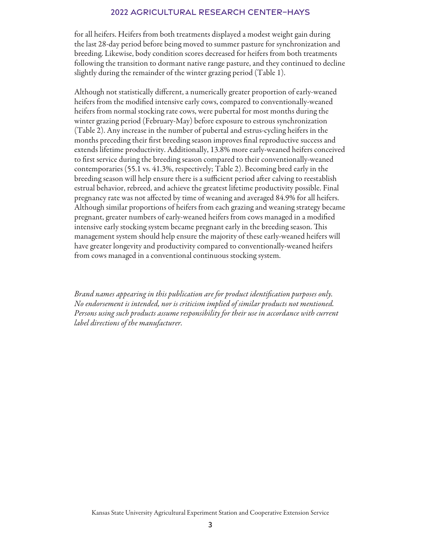### 2022 Agricultural Research Center–Hays

for all heifers. Heifers from both treatments displayed a modest weight gain during the last 28-day period before being moved to summer pasture for synchronization and breeding. Likewise, body condition scores decreased for heifers from both treatments following the transition to dormant native range pasture, and they continued to decline slightly during the remainder of the winter grazing period (Table 1).

Although not statistically different, a numerically greater proportion of early-weaned heifers from the modified intensive early cows, compared to conventionally-weaned heifers from normal stocking rate cows, were pubertal for most months during the winter grazing period (February-May) before exposure to estrous synchronization (Table 2). Any increase in the number of pubertal and estrus-cycling heifers in the months preceding their first breeding season improves final reproductive success and extends lifetime productivity. Additionally, 13.8% more early-weaned heifers conceived to first service during the breeding season compared to their conventionally-weaned contemporaries (55.1 vs. 41.3%, respectively; Table 2). Becoming bred early in the breeding season will help ensure there is a sufficient period after calving to reestablish estrual behavior, rebreed, and achieve the greatest lifetime productivity possible. Final pregnancy rate was not affected by time of weaning and averaged 84.9% for all heifers. Although similar proportions of heifers from each grazing and weaning strategy became pregnant, greater numbers of early-weaned heifers from cows managed in a modified intensive early stocking system became pregnant early in the breeding season. This management system should help ensure the majority of these early-weaned heifers will have greater longevity and productivity compared to conventionally-weaned heifers from cows managed in a conventional continuous stocking system.

*Brand names appearing in this publication are for product identification purposes only. No endorsement is intended, nor is criticism implied of similar products not mentioned. Persons using such products assume responsibility for their use in accordance with current label directions of the manufacturer.*